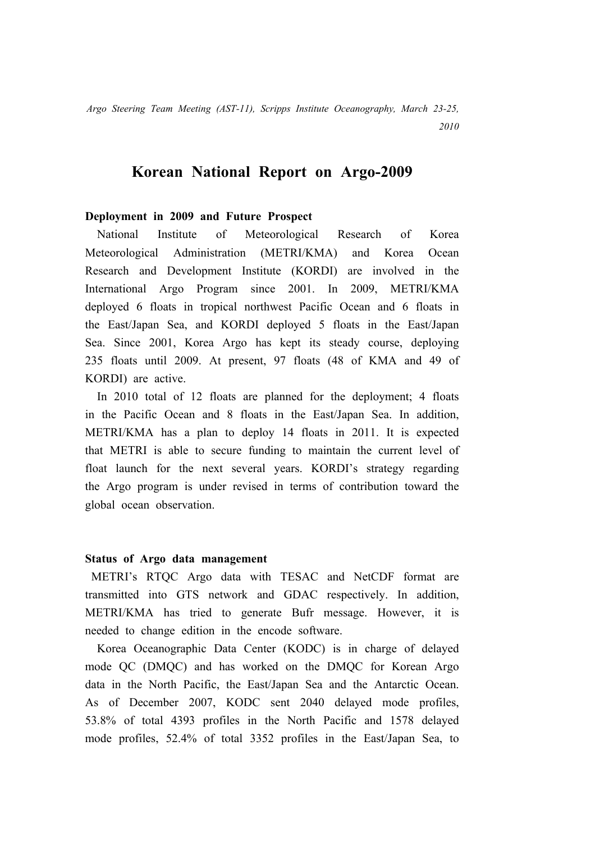*Argo Steering Team Meeting (AST-11), Scripps Institute Oceanography, March 23-25,* 

*2010*

## **Korean National Report on Argo-2009**

## **Deployment in 2009 and Future Prospect**

National Institute of Meteorological Research of Korea Meteorological Administration (METRI/KMA) and Korea Ocean Research and Development Institute (KORDI) are involved in the International Argo Program since 2001. In 2009, METRI/KMA deployed 6 floats in tropical northwest Pacific Ocean and 6 floats in the East/Japan Sea, and KORDI deployed 5 floats in the East/Japan Sea. Since 2001, Korea Argo has kept its steady course, deploying 235 floats until 2009. At present, 97 floats (48 of KMA and 49 of KORDI) are active.

In 2010 total of 12 floats are planned for the deployment; 4 floats in the Pacific Ocean and 8 floats in the East/Japan Sea. In addition, METRI/KMA has a plan to deploy 14 floats in 2011. It is expected that METRI is able to secure funding to maintain the current level of float launch for the next several years. KORDI's strategy regarding the Argo program is under revised in terms of contribution toward the global ocean observation.

## **Status of Argo data management**

METRI's RTQC Argo data with TESAC and NetCDF format are transmitted into GTS network and GDAC respectively. In addition, METRI/KMA has tried to generate Bufr message. However, it is needed to change edition in the encode software.

Korea Oceanographic Data Center (KODC) is in charge of delayed mode QC (DMQC) and has worked on the DMQC for Korean Argo data in the North Pacific, the East/Japan Sea and the Antarctic Ocean. As of December 2007, KODC sent 2040 delayed mode profiles, 53.8% of total 4393 profiles in the North Pacific and 1578 delayed mode profiles, 52.4% of total 3352 profiles in the East/Japan Sea, to